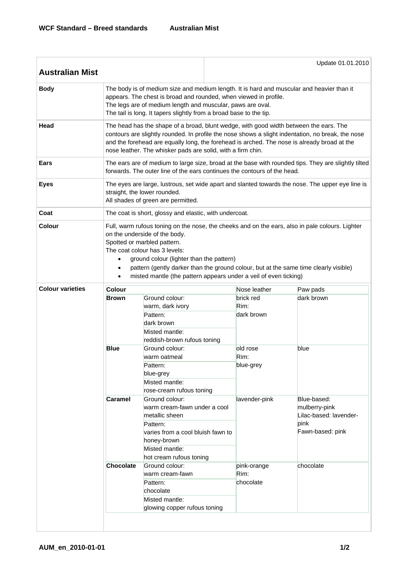| <b>Australian Mist</b>  |                                                                                                                                                                                                                                                                                                                                                                                                                       |                                                                                                                                                                                                                                                                                        | Update 01.01.2010 |                                                |                                                                                            |  |  |  |
|-------------------------|-----------------------------------------------------------------------------------------------------------------------------------------------------------------------------------------------------------------------------------------------------------------------------------------------------------------------------------------------------------------------------------------------------------------------|----------------------------------------------------------------------------------------------------------------------------------------------------------------------------------------------------------------------------------------------------------------------------------------|-------------------|------------------------------------------------|--------------------------------------------------------------------------------------------|--|--|--|
| <b>Body</b>             | The body is of medium size and medium length. It is hard and muscular and heavier than it<br>appears. The chest is broad and rounded, when viewed in profile.<br>The legs are of medium length and muscular, paws are oval.<br>The tail is long. It tapers slightly from a broad base to the tip.                                                                                                                     |                                                                                                                                                                                                                                                                                        |                   |                                                |                                                                                            |  |  |  |
| Head                    | The head has the shape of a broad, blunt wedge, with good width between the ears. The<br>contours are slightly rounded. In profile the nose shows a slight indentation, no break, the nose<br>and the forehead are equally long, the forehead is arched. The nose is already broad at the<br>nose leather. The whisker pads are solid, with a firm chin.                                                              |                                                                                                                                                                                                                                                                                        |                   |                                                |                                                                                            |  |  |  |
| Ears                    | The ears are of medium to large size, broad at the base with rounded tips. They are slightly tilted<br>forwards. The outer line of the ears continues the contours of the head.                                                                                                                                                                                                                                       |                                                                                                                                                                                                                                                                                        |                   |                                                |                                                                                            |  |  |  |
| <b>Eyes</b>             | The eyes are large, lustrous, set wide apart and slanted towards the nose. The upper eye line is<br>straight, the lower rounded.<br>All shades of green are permitted.                                                                                                                                                                                                                                                |                                                                                                                                                                                                                                                                                        |                   |                                                |                                                                                            |  |  |  |
| Coat                    | The coat is short, glossy and elastic, with undercoat.                                                                                                                                                                                                                                                                                                                                                                |                                                                                                                                                                                                                                                                                        |                   |                                                |                                                                                            |  |  |  |
| <b>Colour</b>           | Full, warm rufous toning on the nose, the cheeks and on the ears, also in pale colours. Lighter<br>on the underside of the body.<br>Spotted or marbled pattern.<br>The coat colour has 3 levels:<br>ground colour (lighter than the pattern)<br>$\bullet$<br>pattern (gently darker than the ground colour, but at the same time clearly visible)<br>misted mantle (the pattern appears under a veil of even ticking) |                                                                                                                                                                                                                                                                                        |                   |                                                |                                                                                            |  |  |  |
| <b>Colour varieties</b> | <b>Colour</b>                                                                                                                                                                                                                                                                                                                                                                                                         |                                                                                                                                                                                                                                                                                        |                   | Nose leather                                   | Paw pads                                                                                   |  |  |  |
|                         | Brown                                                                                                                                                                                                                                                                                                                                                                                                                 | Ground colour:<br>warm, dark ivory<br>Pattern:<br>dark brown<br>Misted mantle:<br>reddish-brown rufous toning                                                                                                                                                                          |                   | brick red<br>Rim:<br>dark brown                | dark brown                                                                                 |  |  |  |
|                         | <b>Blue</b><br>Caramel                                                                                                                                                                                                                                                                                                                                                                                                | Ground colour:<br>warm oatmeal<br>Pattern:<br>blue-grey<br>Misted mantle:<br>rose-cream rufous toning<br>Ground colour:<br>warm cream-fawn under a cool<br>metallic sheen<br>Pattern:<br>varies from a cool bluish fawn to<br>honey-brown<br>Misted mantle:<br>hot cream rufous toning |                   | old rose<br>Rim:<br>blue-grey<br>lavender-pink | blue<br>Blue-based:<br>mulberry-pink<br>Lilac-based: lavender-<br>pink<br>Fawn-based: pink |  |  |  |
|                         | <b>Chocolate</b>                                                                                                                                                                                                                                                                                                                                                                                                      | Ground colour:<br>warm cream-fawn<br>Pattern:<br>chocolate<br>Misted mantle:<br>glowing copper rufous toning                                                                                                                                                                           |                   | pink-orange<br>Rim:<br>chocolate               | chocolate                                                                                  |  |  |  |